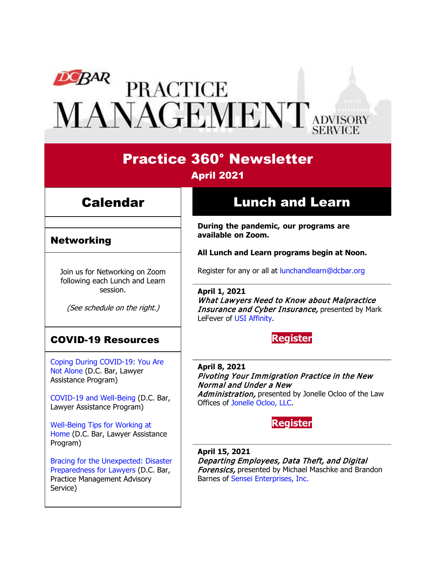# DEBAR PRACTICE<br>MANAGEMENT ADVISORY

## Practice 360° Newsletter April 2021

### Calendar

#### Networking

Join us for Networking on Zoom following each Lunch and Learn session.

(See schedule on the right.)

#### COVID-19 Resources

[Coping During COVID-19: You Are](https://www.dcbar.org/news-events/news/coping-during-covid-19-you-are-not-alone?utm_source=Real%20Magnet&utm_medium=INSERT_CHANNEL&utm_campaign=INSERT_LINK_ID)  [Not Alone](https://www.dcbar.org/news-events/news/coping-during-covid-19-you-are-not-alone?utm_source=Real%20Magnet&utm_medium=INSERT_CHANNEL&utm_campaign=INSERT_LINK_ID) (D.C. Bar, Lawyer Assistance Program)

[COVID-19 and Well-Being](https://dcbarcms-uat3.i3digital.com/DCBar/i3Base/DCBar/For%20Lawyers/Lawyer%20Assistance%20Program/PDFs/covid-19-and-well-being.pdf) (D.C. Bar, Lawyer Assistance Program)

[Well-Being Tips for Working at](https://dcbarcms-uat3.i3digital.com/DCBar/i3Base/DCBar/For%20Lawyers/Lawyer%20Assistance%20Program/PDFs/Wellness-Tips-Working-From-Home.pdf)  [Home](https://dcbarcms-uat3.i3digital.com/DCBar/i3Base/DCBar/For%20Lawyers/Lawyer%20Assistance%20Program/PDFs/Wellness-Tips-Working-From-Home.pdf) (D.C. Bar, Lawyer Assistance Program)

[Bracing for the Unexpected: Disaster](https://www.dcbar.org/news-events/news/bracing-for-the-unexpected-disaster-preparedness-f?utm_source=Real%20Magnet&utm_medium=INSERT_CHANNEL&utm_campaign=INSERT_LINK_ID)  [Preparedness for Lawyers](https://www.dcbar.org/news-events/news/bracing-for-the-unexpected-disaster-preparedness-f?utm_source=Real%20Magnet&utm_medium=INSERT_CHANNEL&utm_campaign=INSERT_LINK_ID) (D.C. Bar, Practice Management Advisory Service)

## Lunch and Learn

**During the pandemic, our programs are available on Zoom.** 

**All Lunch and Learn programs begin at Noon.**

Register for any or all at [lunchandlearn@dcbar.org](mailto:lunchandlearn@dcbar.org?subject=Lunch%20and%20Learn)

**April 1, 2021** What Lawyers Need to Know about Malpractice Insurance and Cyber Insurance, presented by Mark LeFever of [USI Affinity.](https://www.mybarinsurance.com/dcbar/)

#### **[Register](https://dcbar.inreachce.com/Details/Information/33706c4c-bd39-4387-b53e-45336817e7a8)**

**April 8, 2021** Pivoting Your Immigration Practice in the New Normal and Under a New Administration, presented by Jonelle Ocloo of the Law Offices of [Jonelle Ocloo, LLC.](http://lojolaw.com/)



**April 15, 2021** Departing Employees, Data Theft, and Digital **Forensics, presented by Michael Maschke and Brandon** Barnes of [Sensei Enterprises, Inc.](https://senseient.com/)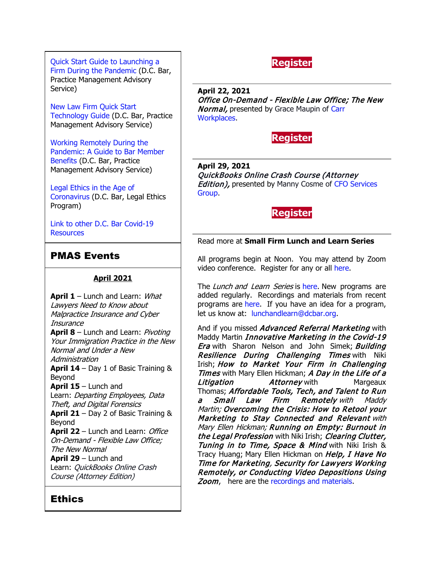[Quick Start Guide to Launching a](https://www.dcbar.org/getmedia/d28b7c4b-3dcb-419e-828d-fdc2340588f9/Career-disruption-setting-up-a-law-firm-quickly-resources?utm_source=Real%20Magnet&utm_medium=INSERT_CHANNEL&utm_campaign=INSERT_LINK_ID)  [Firm During the Pandemic](https://www.dcbar.org/getmedia/d28b7c4b-3dcb-419e-828d-fdc2340588f9/Career-disruption-setting-up-a-law-firm-quickly-resources?utm_source=Real%20Magnet&utm_medium=INSERT_CHANNEL&utm_campaign=INSERT_LINK_ID) (D.C. Bar, Practice Management Advisory Service)

[New Law Firm Quick Start](https://www.dcbar.org/getmedia/34a3addd-9a13-4fc7-8e68-fbc2be8b50e0/Quick-start-Tech-Guide-final?utm_source=Real%20Magnet&utm_medium=INSERT_CHANNEL&utm_campaign=INSERT_LINK_ID)  [Technology Guide](https://www.dcbar.org/getmedia/34a3addd-9a13-4fc7-8e68-fbc2be8b50e0/Quick-start-Tech-Guide-final?utm_source=Real%20Magnet&utm_medium=INSERT_CHANNEL&utm_campaign=INSERT_LINK_ID) (D.C. Bar, Practice Management Advisory Service)

[Working Remotely During the](https://www.dcbar.org/news-events/news/working-remotely-during-the-pandemic-a-guide-to-ba?utm_source=Real%20Magnet&utm_medium=INSERT_CHANNEL&utm_campaign=INSERT_LINK_ID)  [Pandemic: A Guide to Bar Member](https://www.dcbar.org/news-events/news/working-remotely-during-the-pandemic-a-guide-to-ba?utm_source=Real%20Magnet&utm_medium=INSERT_CHANNEL&utm_campaign=INSERT_LINK_ID)  [Benefits](https://www.dcbar.org/news-events/news/working-remotely-during-the-pandemic-a-guide-to-ba?utm_source=Real%20Magnet&utm_medium=INSERT_CHANNEL&utm_campaign=INSERT_LINK_ID) (D.C. Bar, Practice Management Advisory Service)

[Legal Ethics in the Age of](https://www.dcbar.org/news-events/news/legal-ethics-in-the-age-of-the-coronavirus?utm_source=Real%20Magnet&utm_medium=INSERT_CHANNEL&utm_campaign=INSERT_LINK_ID)  [Coronavirus \(](https://www.dcbar.org/news-events/news/legal-ethics-in-the-age-of-the-coronavirus?utm_source=Real%20Magnet&utm_medium=INSERT_CHANNEL&utm_campaign=INSERT_LINK_ID)D.C. Bar, Legal Ethics Program)

[Link to other D.C. Bar Covid-19](https://www.dcbar.org/for-lawyers/membership/covid-19-resources?utm_source=Real%20Magnet&utm_medium=INSERT_CHANNEL&utm_campaign=INSERT_LINK_ID)  **[Resources](https://www.dcbar.org/for-lawyers/membership/covid-19-resources?utm_source=Real%20Magnet&utm_medium=INSERT_CHANNEL&utm_campaign=INSERT_LINK_ID)** 

#### PMAS Events

#### **April 2021**

**April 1** – Lunch and Learn: What Lawyers Need to Know about Malpractice Insurance and Cyber **Insurance April 8** – Lunch and Learn: Pivoting Your Immigration Practice in the New Normal and Under a New Administration **April 14** – Day 1 of Basic Training & Beyond **April 15** – Lunch and Learn: Departing Employees, Data Theft, and Digital Forensics **April 21** – Day 2 of Basic Training & Beyond **April 22** – Lunch and Learn: *Office* On-Demand - Flexible Law Office; The New Normal **April 29** – Lunch and Learn: QuickBooks Online Crash Course (Attorney Edition)

#### **Ethics**

**[Register](https://dcbar.inreachce.com/Details/Information/6563457f-9c31-4051-afb8-37105d0df643)**

**April 22, 2021** Office On-Demand - Flexible Law Office; The New **Normal, presented by Grace Maupin of Carr** [Workplaces.](https://carrworkplaces.com/locations/dc/)



**April 29, 2021** QuickBooks Online Crash Course (Attorney **Edition), presented by Manny Cosme of CFO Services** [Group.](https://www.cfoservicesgroup.com/)



#### Read more at **[Small Firm Lunch](https://www.dcbar.org/for-lawyers/practice-management-advisory-service/courses-and-trainings/small-firm-lunch-and-learn-series?utm_source=Real%20Magnet&utm_medium=INSERT_CHANNEL&utm_campaign=INSERT_LINK_ID) and Learn Series**

All programs begin at Noon. You may attend by Zoom video conference. Register for any or all [here.](https://www.dcbar.org/for-lawyers/practice-management-advisory-service/courses-and-trainings/small-firm-lunch-and-learn-series?utm_source=Real%20Magnet&utm_medium=INSERT_CHANNEL&utm_campaign=INSERT_LINK_ID)

The Lunch and Learn Series is [here.](https://www.dcbar.org/for-lawyers/practice-management-advisory-service/courses-and-trainings/small-firm-lunch-and-learn-series?utm_source=Real%20Magnet&utm_medium=INSERT_CHANNEL&utm_campaign=INSERT_LINK_ID) New programs are added regularly. Recordings and materials from recent programs are [here.](https://www.dcbar.org/for-lawyers/practice-management-advisory-service/courses-and-trainings/small-firm-lunch-and-learn-series/past-lunch-and-learn-programs?utm_source=Real%20Magnet&utm_medium=INSERT_CHANNEL&utm_campaign=INSERT_LINK_ID) If you have an idea for a program, let us know at: [lunchandlearn@dcbar.org.](mailto:lunchandlearn@dcbar.org)

And if you missed *Advanced Referral Marketing* with Maddy Martin *Innovative Marketing in the Covid-19* **Era** with Sharon Nelson and John Simek; **Building Resilience During Challenging Times with Niki** Irish; How to Market Your Firm in Challenging Times with Mary Ellen Hickman; A Day in the Life of a **Litigation Margeaux** Attorney with Margeaux Thomas; Affordable Tools, Tech, and Talent to Run a Small Law Firm Remotely with Maddy Martin; Overcoming the Crisis: How to Retool your Marketing to Stay Connected and Relevant with Mary Ellen Hickman; Running on Empty: Burnout in the Legal Profession with Niki Irish; Clearing Clutter, Tuning in to Time, Space & Mind with Niki Irish & Tracy Huang; Mary Ellen Hickman on Help, I Have No Time for Marketing, Security for Lawyers Working Remotely, or Conducting Video Depositions Using Zoom, here are the [recordings and materials.](https://www.dcbar.org/for-lawyers/practice-management-advisory-service/courses-and-trainings/small-firm-lunch-and-learn-series/past-lunch-and-learn-programs?utm_source=Real%20Magnet&utm_medium=INSERT_CHANNEL&utm_campaign=INSERT_LINK_ID)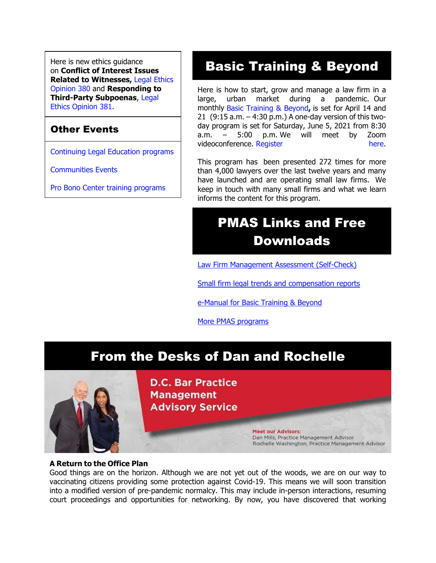Here is new ethics guidance on **Conflict of Interest Issues Related to Witnesses,** [Legal Ethics](https://www.dcbar.org/getmedia/157836df-95d6-423c-b928-3dd1ce946c3b/opinion_380-(1)?utm_source=Real%20Magnet&utm_medium=INSERT_CHANNEL&utm_campaign=INSERT_LINK_ID)  [Opinion 380](https://www.dcbar.org/getmedia/157836df-95d6-423c-b928-3dd1ce946c3b/opinion_380-(1)?utm_source=Real%20Magnet&utm_medium=INSERT_CHANNEL&utm_campaign=INSERT_LINK_ID) and **Responding to Third-Party Subpoenas**, [Legal](https://www.dcbar.org/getmedia/841cc5e4-dffc-4da0-bc1a-b96e7f48f100/opinion_381?utm_source=Real%20Magnet&utm_medium=INSERT_CHANNEL&utm_campaign=INSERT_LINK_ID)  [Ethics Opinion 381.](https://www.dcbar.org/getmedia/841cc5e4-dffc-4da0-bc1a-b96e7f48f100/opinion_381?utm_source=Real%20Magnet&utm_medium=INSERT_CHANNEL&utm_campaign=INSERT_LINK_ID)

#### Other Events

[Continuing Legal Education programs](https://dcbar.inreachce.com/SearchResults?searchType=1&category=b7426509-0fca-4650-bf8a-8c9ace05de88)

[Communities Events](https://join.dcbar.org/eweb/DynamicPage.aspx?site=dcbar&webcode=EventList&utm_source=Real%20Magnet&utm_medium=INSERT_CHANNEL&utm_campaign=INSERT_LINK_ID)

[Pro Bono Center training programs](https://www.dcbar.org/pro-bono/resources-and-training/pro-bono-center-training-program?utm_source=Real%20Magnet&utm_medium=INSERT_CHANNEL&utm_campaign=INSERT_LINK_ID)

# Basic Training & Beyond

Here is how to start, grow and manage a law firm in a large, urban market during a pandemic. Our monthly [Basic Training & Beyond](http://www.mmsend31.com/link.cfm?r=zvkjaWqFFUTRz65Avl-Ftw%7E%7E&pe=c3ph7NU-Re1l6uj-xoZC_Nqnf2HGTrpIRRfl_qZmlgZN_I06rShTZ-AlGs0Wp7CGgKUozsdU2izsioLhmXaRbg%7E%7E&t=prXb-jowJMuBRf73r4YKRA%7E%7E)**,** is set for April 14 and 21 (9:15 a.m. – 4:30 p.m.) A one-day version of this twoday program is set for Saturday, June 5, 2021 from 8:30 a.m. – 5:00 p.m. We will meet by Zoom videoconference. [Register](http://www.mmsend31.com/link.cfm?r=zvkjaWqFFUTRz65Avl-Ftw%7E%7E&pe=BxjSlIjTK_3i3Os02s37pODjnSEaSaIBfLm0UarKy-K07-G29KY0F7SoVNdKQgSYIVrXVvuyFBcMiPY5X35JOA%7E%7E&t=prXb-jowJMuBRf73r4YKRA%7E%7E) here.

This program has been presented 272 times for more than 4,000 lawyers over the last twelve years and many have launched and are operating small law firms. We keep in touch with many small firms and what we learn informs the content for this program.

# PMAS Links and Free Downloads

[Law Firm Management Assessment \(Self-Check\)](https://www.dcbar.org/for-lawyers/practice-management-advisory-service/practice-tips-and-compliance/self-check?utm_source=Real%20Magnet&utm_medium=INSERT_CHANNEL&utm_campaign=INSERT_LINK_ID)

[Small firm legal trends and compensation reports](https://www.dcbar.org/for-lawyers/practice-management-advisory-service/courses-and-trainings/basic-training-beyond/basic-training-beyond-supplements?utm_source=Real%20Magnet&utm_medium=INSERT_CHANNEL&utm_campaign=INSERT_LINK_ID)

[e-Manual for Basic Training & Beyond](https://documentcloud.adobe.com/link/review?uri=urn:aaid:scds:US:2182dc5f-4a8c-435d-bb76-280eddc57a6d)

[More PMAS programs](https://www.dcbar.org/for-lawyers/practice-management-advisory-service/courses-and-trainings?utm_source=Real%20Magnet&utm_medium=INSERT_CHANNEL&utm_campaign=INSERT_LINK_ID)

## From the Desks of Dan and Rochelle



**D.C. Bar Practice Management Advisory Service** 

> **Meet our Advisors:** Dan Mills, Practice Management Advisor Rochelle Washington, Practice Management Advisor

#### **A Return to the Office Plan**

Good things are on the horizon. Although we are not yet out of the woods, we are on our way to vaccinating citizens providing some protection against Covid-19. This means we will soon transition into a modified version of pre-pandemic normalcy. This may include in-person interactions, resuming court proceedings and opportunities for networking. By now, you have discovered that working